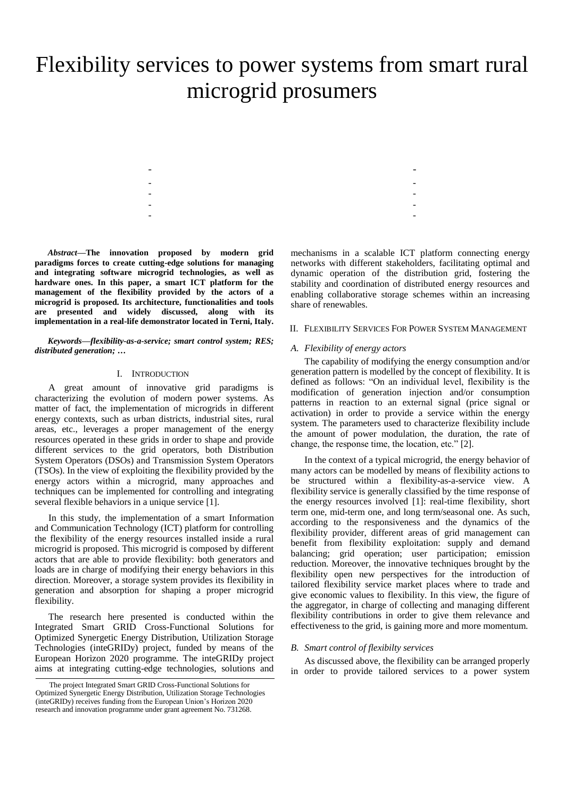# Flexibility services to power systems from smart rural microgrid prosumers

| $\overline{\phantom{0}}$ |  |
|--------------------------|--|
| -                        |  |
| -                        |  |
| -                        |  |
| -                        |  |

*Abstract—***The innovation proposed by modern grid paradigms forces to create cutting-edge solutions for managing and integrating software microgrid technologies, as well as hardware ones. In this paper, a smart ICT platform for the management of the flexibility provided by the actors of a microgrid is proposed. Its architecture, functionalities and tools are presented and widely discussed, along with its implementation in a real-life demonstrator located in Terni, Italy.**

*Keywords—flexibility-as-a-service; smart control system; RES; distributed generation; …*

#### I. INTRODUCTION

A great amount of innovative grid paradigms is characterizing the evolution of modern power systems. As matter of fact, the implementation of microgrids in different energy contexts, such as urban districts, industrial sites, rural areas, etc., leverages a proper management of the energy resources operated in these grids in order to shape and provide different services to the grid operators, both Distribution System Operators (DSOs) and Transmission System Operators (TSOs). In the view of exploiting the flexibility provided by the energy actors within a microgrid, many approaches and techniques can be implemented for controlling and integrating several flexible behaviors in a unique service [\[1\].](#page-2-0)

In this study, the implementation of a smart Information and Communication Technology (ICT) platform for controlling the flexibility of the energy resources installed inside a rural microgrid is proposed. This microgrid is composed by different actors that are able to provide flexibility: both generators and loads are in charge of modifying their energy behaviors in this direction. Moreover, a storage system provides its flexibility in generation and absorption for shaping a proper microgrid flexibility.

The research here presented is conducted within the Integrated Smart GRID Cross-Functional Solutions for Optimized Synergetic Energy Distribution, Utilization Storage Technologies (inteGRIDy) project, funded by means of the European Horizon 2020 programme. The inteGRIDy project aims at integrating cutting-edge technologies, solutions and mechanisms in a scalable ICT platform connecting energy networks with different stakeholders, facilitating optimal and dynamic operation of the distribution grid, fostering the stability and coordination of distributed energy resources and enabling collaborative storage schemes within an increasing share of renewables.

# II. FLEXIBILITY SERVICES FOR POWER SYSTEM MANAGEMENT

#### *A. Flexibility of energy actors*

The capability of modifying the energy consumption and/or generation pattern is modelled by the concept of flexibility. It is defined as follows: "On an individual level, flexibility is the modification of generation injection and/or consumption patterns in reaction to an external signal (price signal or activation) in order to provide a service within the energy system. The parameters used to characterize flexibility include the amount of power modulation, the duration, the rate of change, the response time, the location, etc." [\[2\].](#page-2-1)

In the context of a typical microgrid, the energy behavior of many actors can be modelled by means of flexibility actions to be structured within a flexibility-as-a-service view. A flexibility service is generally classified by the time response of the energy resources involved [\[1\]:](#page-2-0) real-time flexibility, short term one, mid-term one, and long term/seasonal one. As such, according to the responsiveness and the dynamics of the flexibility provider, different areas of grid management can benefit from flexibility exploitation: supply and demand balancing; grid operation; user participation; emission reduction. Moreover, the innovative techniques brought by the flexibility open new perspectives for the introduction of tailored flexibility service market places where to trade and give economic values to flexibility. In this view, the figure of the aggregator, in charge of collecting and managing different flexibility contributions in order to give them relevance and effectiveness to the grid, is gaining more and more momentum.

#### *B. Smart control of flexibilty services*

As discussed above, the flexibility can be arranged properly in order to provide tailored services to a power system

The project Integrated Smart GRID Cross-Functional Solutions for Optimized Synergetic Energy Distribution, Utilization Storage Technologies (inteGRIDy) receives funding from the European Union's Horizon 2020 research and innovation programme under grant agreement No. 731268.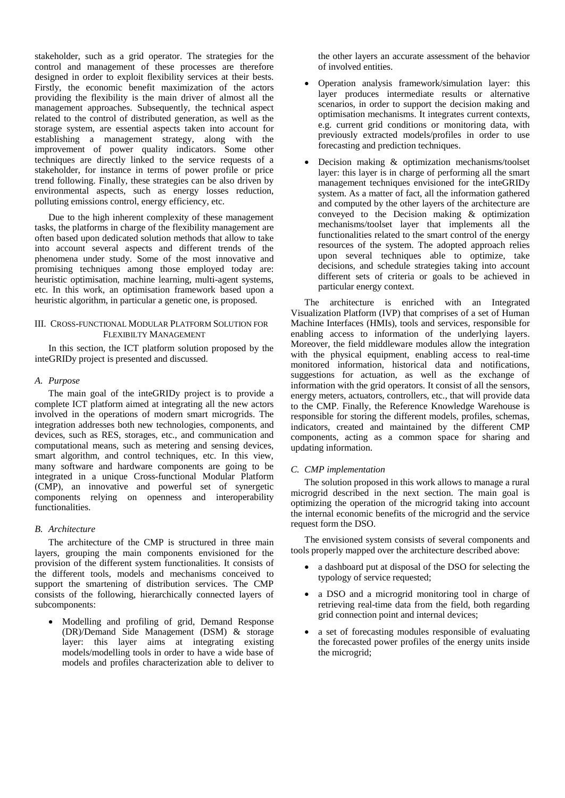stakeholder, such as a grid operator. The strategies for the control and management of these processes are therefore designed in order to exploit flexibility services at their bests. Firstly, the economic benefit maximization of the actors providing the flexibility is the main driver of almost all the management approaches. Subsequently, the technical aspect related to the control of distributed generation, as well as the storage system, are essential aspects taken into account for establishing a management strategy, along with the improvement of power quality indicators. Some other techniques are directly linked to the service requests of a stakeholder, for instance in terms of power profile or price trend following. Finally, these strategies can be also driven by environmental aspects, such as energy losses reduction, polluting emissions control, energy efficiency, etc.

Due to the high inherent complexity of these management tasks, the platforms in charge of the flexibility management are often based upon dedicated solution methods that allow to take into account several aspects and different trends of the phenomena under study. Some of the most innovative and promising techniques among those employed today are: heuristic optimisation, machine learning, multi-agent systems, etc. In this work, an optimisation framework based upon a heuristic algorithm, in particular a genetic one, is proposed.

## III. CROSS-FUNCTIONAL MODULAR PLATFORM SOLUTION FOR FLEXIBILTY MANAGEMENT

In this section, the ICT platform solution proposed by the inteGRIDy project is presented and discussed.

## *A. Purpose*

The main goal of the inteGRIDy project is to provide a complete ICT platform aimed at integrating all the new actors involved in the operations of modern smart microgrids. The integration addresses both new technologies, components, and devices, such as RES, storages, etc., and communication and computational means, such as metering and sensing devices, smart algorithm, and control techniques, etc. In this view, many software and hardware components are going to be integrated in a unique Cross-functional Modular Platform (CMP), an innovative and powerful set of synergetic components relying on openness and interoperability functionalities.

## *B. Architecture*

The architecture of the CMP is structured in three main layers, grouping the main components envisioned for the provision of the different system functionalities. It consists of the different tools, models and mechanisms conceived to support the smartening of distribution services. The CMP consists of the following, hierarchically connected layers of subcomponents:

 Modelling and profiling of grid, Demand Response (DR)/Demand Side Management (DSM) & storage layer: this layer aims at integrating existing models/modelling tools in order to have a wide base of models and profiles characterization able to deliver to the other layers an accurate assessment of the behavior of involved entities.

- Operation analysis framework/simulation layer: this layer produces intermediate results or alternative scenarios, in order to support the decision making and optimisation mechanisms. It integrates current contexts, e.g. current grid conditions or monitoring data, with previously extracted models/profiles in order to use forecasting and prediction techniques.
- Decision making & optimization mechanisms/toolset layer: this layer is in charge of performing all the smart management techniques envisioned for the inteGRIDy system. As a matter of fact, all the information gathered and computed by the other layers of the architecture are conveyed to the Decision making & optimization mechanisms/toolset layer that implements all the functionalities related to the smart control of the energy resources of the system. The adopted approach relies upon several techniques able to optimize, take decisions, and schedule strategies taking into account different sets of criteria or goals to be achieved in particular energy context.

The architecture is enriched with an Integrated Visualization Platform (IVP) that comprises of a set of Human Machine Interfaces (HMIs), tools and services, responsible for enabling access to information of the underlying layers. Moreover, the field middleware modules allow the integration with the physical equipment, enabling access to real-time monitored information, historical data and notifications, suggestions for actuation, as well as the exchange of information with the grid operators. It consist of all the sensors, energy meters, actuators, controllers, etc., that will provide data to the CMP. Finally, the Reference Knowledge Warehouse is responsible for storing the different models, profiles, schemas, indicators, created and maintained by the different CMP components, acting as a common space for sharing and updating information.

## *C. CMP implementation*

The solution proposed in this work allows to manage a rural microgrid described in the next section. The main goal is optimizing the operation of the microgrid taking into account the internal economic benefits of the microgrid and the service request form the DSO.

The envisioned system consists of several components and tools properly mapped over the architecture described above:

- a dashboard put at disposal of the DSO for selecting the typology of service requested;
- a DSO and a microgrid monitoring tool in charge of retrieving real-time data from the field, both regarding grid connection point and internal devices;
- a set of forecasting modules responsible of evaluating the forecasted power profiles of the energy units inside the microgrid;